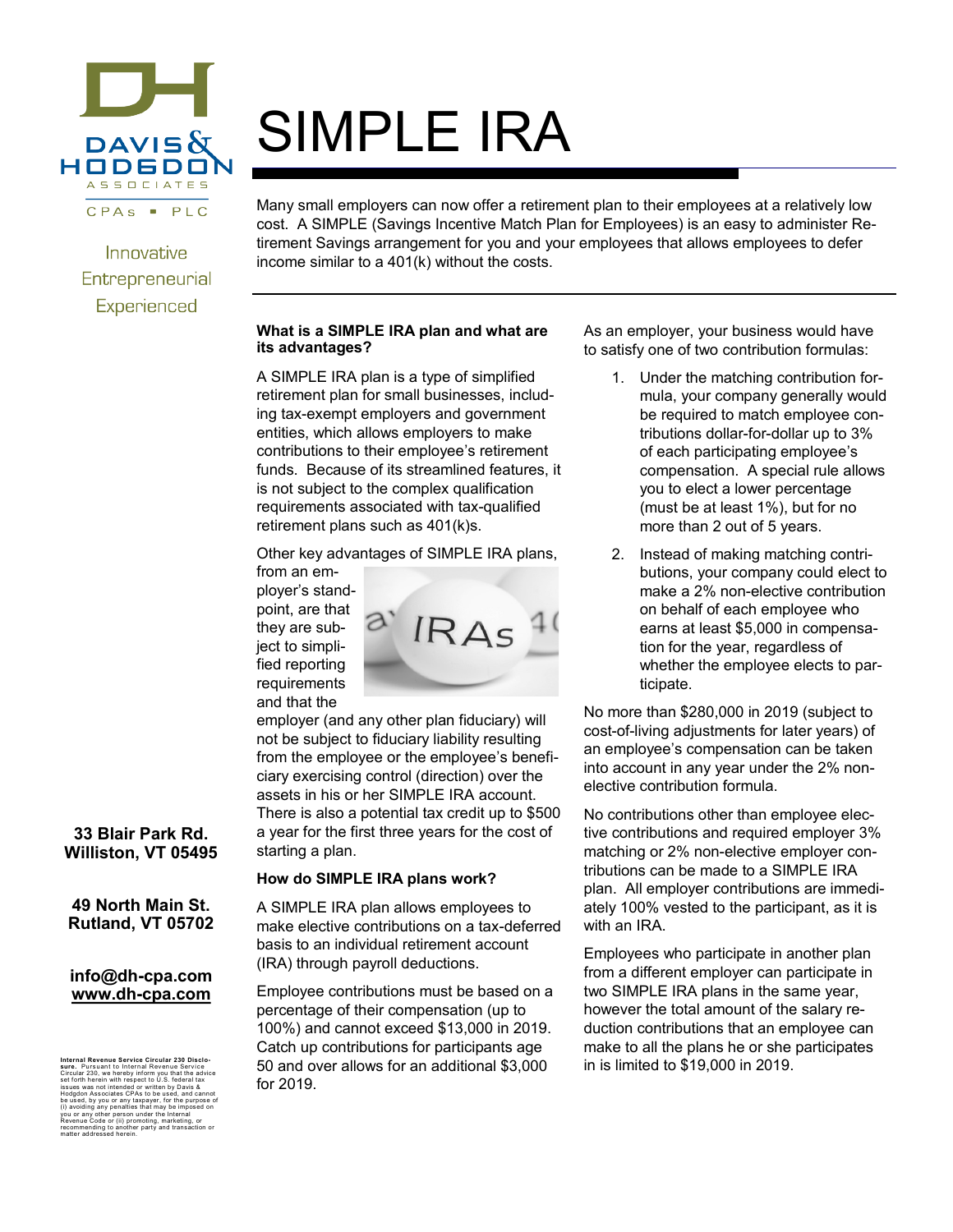

Innovative Entrepreneurial Experienced

# SIMPLE IRA

Many small employers can now offer a retirement plan to their employees at a relatively low cost. A SIMPLE (Savings Incentive Match Plan for Employees) is an easy to administer Retirement Savings arrangement for you and your employees that allows employees to defer income similar to a 401(k) without the costs.

# **What is a SIMPLE IRA plan and what are its advantages?**

A SIMPLE IRA plan is a type of simplified retirement plan for small businesses, including tax-exempt employers and government entities, which allows employers to make contributions to their employee's retirement funds. Because of its streamlined features, it is not subject to the complex qualification requirements associated with tax-qualified retirement plans such as 401(k)s.

Other key advantages of SIMPLE IRA plans,

from an employer's standpoint, are that they are subject to simplified reporting requirements and that the



employer (and any other plan fiduciary) will not be subject to fiduciary liability resulting from the employee or the employee's beneficiary exercising control (direction) over the assets in his or her SIMPLE IRA account. There is also a potential tax credit up to \$500 a year for the first three years for the cost of starting a plan.

# **How do SIMPLE IRA plans work?**

A SIMPLE IRA plan allows employees to make elective contributions on a tax-deferred basis to an individual retirement account (IRA) through payroll deductions.

Employee contributions must be based on a percentage of their compensation (up to 100%) and cannot exceed \$13,000 in 2019. Catch up contributions for participants age 50 and over allows for an additional \$3,000 for 2019.

As an employer, your business would have to satisfy one of two contribution formulas:

- 1. Under the matching contribution formula, your company generally would be required to match employee contributions dollar-for-dollar up to 3% of each participating employee's compensation. A special rule allows you to elect a lower percentage (must be at least 1%), but for no more than 2 out of 5 years.
- 2. Instead of making matching contributions, your company could elect to make a 2% non-elective contribution on behalf of each employee who earns at least \$5,000 in compensation for the year, regardless of whether the employee elects to participate.

No more than \$280,000 in 2019 (subject to cost-of-living adjustments for later years) of an employee's compensation can be taken into account in any year under the 2% nonelective contribution formula.

No contributions other than employee elective contributions and required employer 3% matching or 2% non-elective employer contributions can be made to a SIMPLE IRA plan. All employer contributions are immediately 100% vested to the participant, as it is with an IRA.

Employees who participate in another plan from a different employer can participate in two SIMPLE IRA plans in the same year, however the total amount of the salary reduction contributions that an employee can make to all the plans he or she participates in is limited to \$19,000 in 2019.

# **33 Blair Park Rd. Williston, VT 05495**

**49 North Main St. Rutland, VT 05702**

#### **info@dh-cpa.com www.dh-cpa.com**

**Inal Revenue Service Circular 230 Disclo-**<br>Pursuant to Internal Revenue Service sure. Pursuant to Internal Revenue Service<br>Circular 230, we hereby inform you that the advice<br>set forth herein with respect to U.S. federal tax<br>issues was not intended or written by Davis &<br>houghon Associates CPAs to be us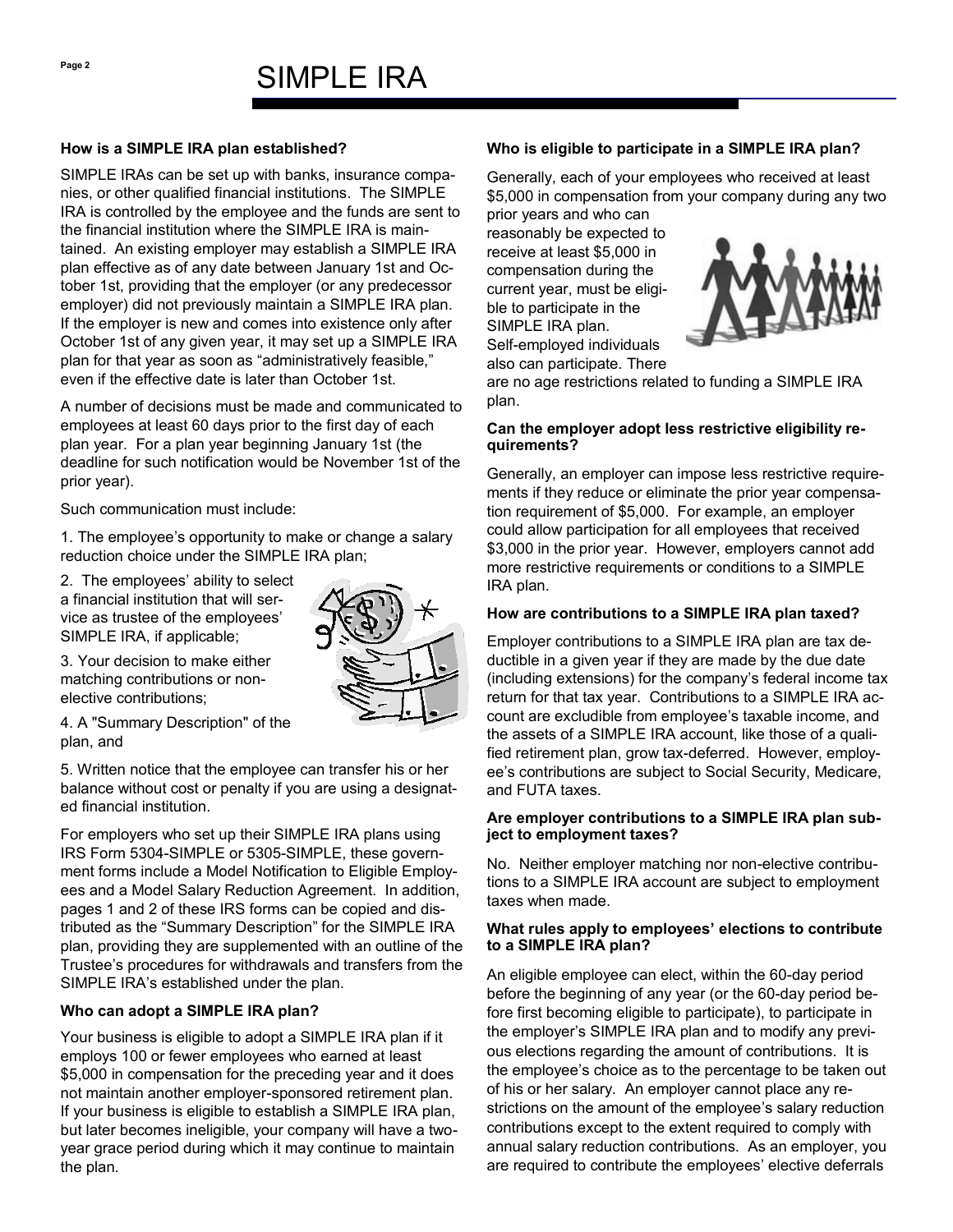# SIMPI F IRA

#### **How is a SIMPLE IRA plan established?**

SIMPLE IRAs can be set up with banks, insurance companies, or other qualified financial institutions. The SIMPLE IRA is controlled by the employee and the funds are sent to the financial institution where the SIMPLE IRA is maintained. An existing employer may establish a SIMPLE IRA plan effective as of any date between January 1st and October 1st, providing that the employer (or any predecessor employer) did not previously maintain a SIMPLE IRA plan. If the employer is new and comes into existence only after October 1st of any given year, it may set up a SIMPLE IRA plan for that year as soon as "administratively feasible," even if the effective date is later than October 1st.

A number of decisions must be made and communicated to employees at least 60 days prior to the first day of each plan year. For a plan year beginning January 1st (the deadline for such notification would be November 1st of the prior year).

Such communication must include:

1. The employee's opportunity to make or change a salary reduction choice under the SIMPLE IRA plan;

2. The employees' ability to select a financial institution that will service as trustee of the employees' SIMPLE IRA, if applicable;



4. A "Summary Description" of the plan, and

5. Written notice that the employee can transfer his or her balance without cost or penalty if you are using a designated financial institution.

For employers who set up their SIMPLE IRA plans using IRS Form 5304-SIMPLE or 5305-SIMPLE, these government forms include a Model Notification to Eligible Employees and a Model Salary Reduction Agreement. In addition, pages 1 and 2 of these IRS forms can be copied and distributed as the "Summary Description" for the SIMPLE IRA plan, providing they are supplemented with an outline of the Trustee's procedures for withdrawals and transfers from the SIMPLE IRA's established under the plan.

# **Who can adopt a SIMPLE IRA plan?**

Your business is eligible to adopt a SIMPLE IRA plan if it employs 100 or fewer employees who earned at least \$5,000 in compensation for the preceding year and it does not maintain another employer-sponsored retirement plan. If your business is eligible to establish a SIMPLE IRA plan, but later becomes ineligible, your company will have a twoyear grace period during which it may continue to maintain the plan.

# **Who is eligible to participate in a SIMPLE IRA plan?**

Generally, each of your employees who received at least \$5,000 in compensation from your company during any two

prior years and who can reasonably be expected to receive at least \$5,000 in compensation during the current year, must be eligible to participate in the SIMPLE IRA plan. Self-employed individuals also can participate. There



are no age restrictions related to funding a SIMPLE IRA plan.

# **Can the employer adopt less restrictive eligibility requirements?**

Generally, an employer can impose less restrictive requirements if they reduce or eliminate the prior year compensation requirement of \$5,000. For example, an employer could allow participation for all employees that received \$3,000 in the prior year. However, employers cannot add more restrictive requirements or conditions to a SIMPLE IRA plan.

# **How are contributions to a SIMPLE IRA plan taxed?**

Employer contributions to a SIMPLE IRA plan are tax deductible in a given year if they are made by the due date (including extensions) for the company's federal income tax return for that tax year. Contributions to a SIMPLE IRA account are excludible from employee's taxable income, and the assets of a SIMPLE IRA account, like those of a qualified retirement plan, grow tax-deferred. However, employee's contributions are subject to Social Security, Medicare, and FUTA taxes.

#### **Are employer contributions to a SIMPLE IRA plan subject to employment taxes?**

No. Neither employer matching nor non-elective contributions to a SIMPLE IRA account are subject to employment taxes when made.

#### **What rules apply to employees' elections to contribute to a SIMPLE IRA plan?**

An eligible employee can elect, within the 60-day period before the beginning of any year (or the 60-day period before first becoming eligible to participate), to participate in the employer's SIMPLE IRA plan and to modify any previous elections regarding the amount of contributions. It is the employee's choice as to the percentage to be taken out of his or her salary. An employer cannot place any restrictions on the amount of the employee's salary reduction contributions except to the extent required to comply with annual salary reduction contributions. As an employer, you are required to contribute the employees' elective deferrals

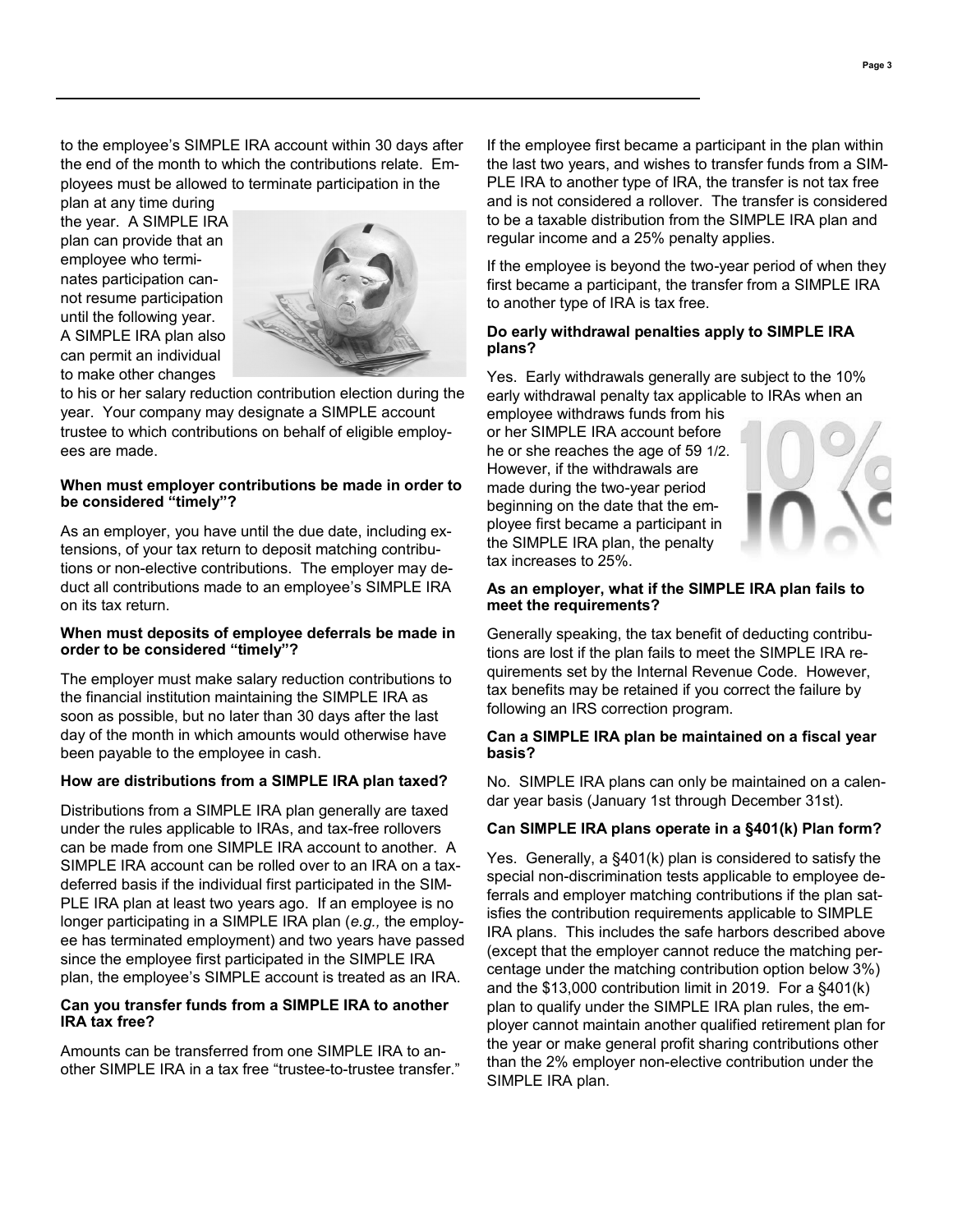to the employee's SIMPLE IRA account within 30 days after the end of the month to which the contributions relate. Employees must be allowed to terminate participation in the

plan at any time during the year. A SIMPLE IRA plan can provide that an employee who terminates participation cannot resume participation until the following year. A SIMPLE IRA plan also can permit an individual to make other changes



to his or her salary reduction contribution election during the year. Your company may designate a SIMPLE account trustee to which contributions on behalf of eligible employees are made.

#### **When must employer contributions be made in order to be considered "timely"?**

As an employer, you have until the due date, including extensions, of your tax return to deposit matching contributions or non-elective contributions. The employer may deduct all contributions made to an employee's SIMPLE IRA on its tax return.

#### **When must deposits of employee deferrals be made in order to be considered "timely"?**

The employer must make salary reduction contributions to the financial institution maintaining the SIMPLE IRA as soon as possible, but no later than 30 days after the last day of the month in which amounts would otherwise have been payable to the employee in cash.

#### **How are distributions from a SIMPLE IRA plan taxed?**

Distributions from a SIMPLE IRA plan generally are taxed under the rules applicable to IRAs, and tax-free rollovers can be made from one SIMPLE IRA account to another. A SIMPLE IRA account can be rolled over to an IRA on a taxdeferred basis if the individual first participated in the SIM-PLE IRA plan at least two years ago. If an employee is no longer participating in a SIMPLE IRA plan (*e.g.,* the employee has terminated employment) and two years have passed since the employee first participated in the SIMPLE IRA plan, the employee's SIMPLE account is treated as an IRA.

#### **Can you transfer funds from a SIMPLE IRA to another IRA tax free?**

Amounts can be transferred from one SIMPLE IRA to another SIMPLE IRA in a tax free "trustee-to-trustee transfer." If the employee first became a participant in the plan within the last two years, and wishes to transfer funds from a SIM-PLE IRA to another type of IRA, the transfer is not tax free and is not considered a rollover. The transfer is considered to be a taxable distribution from the SIMPLE IRA plan and regular income and a 25% penalty applies.

If the employee is beyond the two-year period of when they first became a participant, the transfer from a SIMPLE IRA to another type of IRA is tax free.

#### **Do early withdrawal penalties apply to SIMPLE IRA plans?**

Yes. Early withdrawals generally are subject to the 10% early withdrawal penalty tax applicable to IRAs when an

employee withdraws funds from his or her SIMPLE IRA account before he or she reaches the age of 59 1/2. However, if the withdrawals are made during the two-year period beginning on the date that the employee first became a participant in the SIMPLE IRA plan, the penalty tax increases to 25%.



#### **As an employer, what if the SIMPLE IRA plan fails to meet the requirements?**

Generally speaking, the tax benefit of deducting contributions are lost if the plan fails to meet the SIMPLE IRA requirements set by the Internal Revenue Code. However, tax benefits may be retained if you correct the failure by following an IRS correction program.

#### **Can a SIMPLE IRA plan be maintained on a fiscal year basis?**

No. SIMPLE IRA plans can only be maintained on a calendar year basis (January 1st through December 31st).

# **Can SIMPLE IRA plans operate in a §401(k) Plan form?**

Yes. Generally, a §401(k) plan is considered to satisfy the special non-discrimination tests applicable to employee deferrals and employer matching contributions if the plan satisfies the contribution requirements applicable to SIMPLE IRA plans. This includes the safe harbors described above (except that the employer cannot reduce the matching percentage under the matching contribution option below 3%) and the \$13,000 contribution limit in 2019. For a §401(k) plan to qualify under the SIMPLE IRA plan rules, the employer cannot maintain another qualified retirement plan for the year or make general profit sharing contributions other than the 2% employer non-elective contribution under the SIMPLE IRA plan.